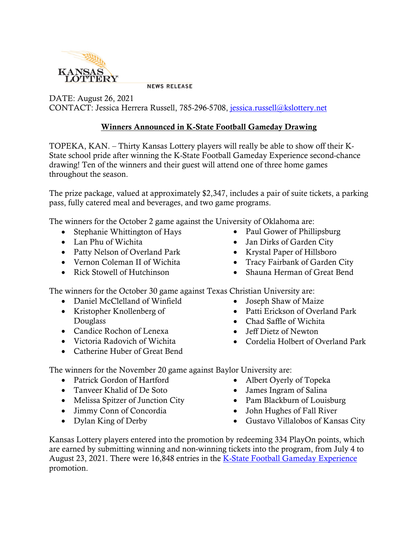

**NEWS RELEASE** 

DATE: August 26, 2021 CONTACT: Jessica Herrera Russell, 785-296-5708, [jessica.russell@kslottery.net](mailto:jessica.russell@kslottery.net)

## Winners Announced in K-State Football Gameday Drawing

TOPEKA, KAN. – Thirty Kansas Lottery players will really be able to show off their K-State school pride after winning the K-State Football Gameday Experience second-chance drawing! Ten of the winners and their guest will attend one of three home games throughout the season.

The prize package, valued at approximately \$2,347, includes a pair of suite tickets, a parking pass, fully catered meal and beverages, and two game programs.

The winners for the October 2 game against the University of Oklahoma are:

- Stephanie Whittington of Hays
- Lan Phu of Wichita
- Patty Nelson of Overland Park
- Vernon Coleman II of Wichita
- Rick Stowell of Hutchinson
- Paul Gower of Phillipsburg
- Jan Dirks of Garden City
- Krystal Paper of Hillsboro
- Tracy Fairbank of Garden City
- Shauna Herman of Great Bend

The winners for the October 30 game against Texas Christian University are:

- Daniel McClelland of Winfield
- Kristopher Knollenberg of Douglass
- Candice Rochon of Lenexa
- Victoria Radovich of Wichita
- Catherine Huber of Great Bend
- Joseph Shaw of Maize
- Patti Erickson of Overland Park
- Chad Saffle of Wichita
- Jeff Dietz of Newton
- Cordelia Holbert of Overland Park

The winners for the November 20 game against Baylor University are:

- Patrick Gordon of Hartford
- Tanveer Khalid of De Soto
- Melissa Spitzer of Junction City
- Jimmy Conn of Concordia
- Dylan King of Derby
- Albert Oyerly of Topeka
- James Ingram of Salina
- Pam Blackburn of Louisburg
- John Hughes of Fall River
- Gustavo Villalobos of Kansas City

Kansas Lottery players entered into the promotion by redeeming 334 PlayOn points, which are earned by submitting winning and non-winning tickets into the program, from July 4 to August 23, 2021. There were 16,848 entries in the [K-State Football Gameday Experience](https://kslottery.com/marketingpromotionslist/k-state-football-gameday-experience-2021/) promotion.